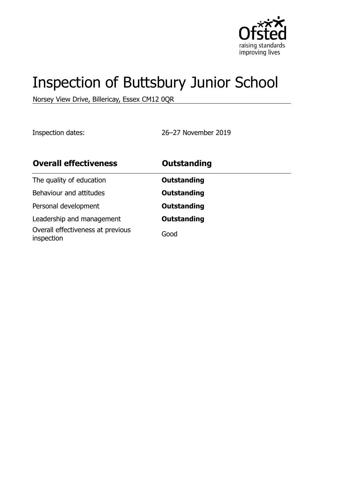

# Inspection of Buttsbury Junior School

Norsey View Drive, Billericay, Essex CM12 0QR

Inspection dates: 26–27 November 2019

| <b>Overall effectiveness</b>                    | <b>Outstanding</b> |
|-------------------------------------------------|--------------------|
| The quality of education                        | <b>Outstanding</b> |
| Behaviour and attitudes                         | <b>Outstanding</b> |
| Personal development                            | <b>Outstanding</b> |
| Leadership and management                       | <b>Outstanding</b> |
| Overall effectiveness at previous<br>inspection | Good               |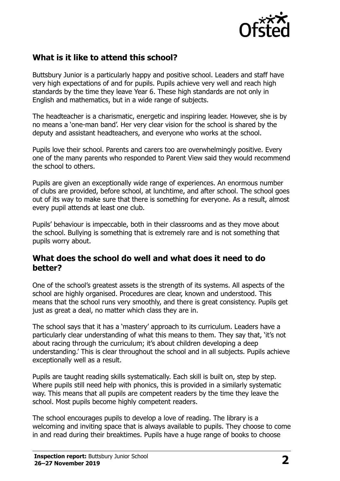

## **What is it like to attend this school?**

Buttsbury Junior is a particularly happy and positive school. Leaders and staff have very high expectations of and for pupils. Pupils achieve very well and reach high standards by the time they leave Year 6. These high standards are not only in English and mathematics, but in a wide range of subjects.

The headteacher is a charismatic, energetic and inspiring leader. However, she is by no means a 'one-man band'. Her very clear vision for the school is shared by the deputy and assistant headteachers, and everyone who works at the school.

Pupils love their school. Parents and carers too are overwhelmingly positive. Every one of the many parents who responded to Parent View said they would recommend the school to others.

Pupils are given an exceptionally wide range of experiences. An enormous number of clubs are provided, before school, at lunchtime, and after school. The school goes out of its way to make sure that there is something for everyone. As a result, almost every pupil attends at least one club.

Pupils' behaviour is impeccable, both in their classrooms and as they move about the school. Bullying is something that is extremely rare and is not something that pupils worry about.

#### **What does the school do well and what does it need to do better?**

One of the school's greatest assets is the strength of its systems. All aspects of the school are highly organised. Procedures are clear, known and understood. This means that the school runs very smoothly, and there is great consistency. Pupils get just as great a deal, no matter which class they are in.

The school says that it has a 'mastery' approach to its curriculum. Leaders have a particularly clear understanding of what this means to them. They say that, 'it's not about racing through the curriculum; it's about children developing a deep understanding.' This is clear throughout the school and in all subjects. Pupils achieve exceptionally well as a result.

Pupils are taught reading skills systematically. Each skill is built on, step by step. Where pupils still need help with phonics, this is provided in a similarly systematic way. This means that all pupils are competent readers by the time they leave the school. Most pupils become highly competent readers.

The school encourages pupils to develop a love of reading. The library is a welcoming and inviting space that is always available to pupils. They choose to come in and read during their breaktimes. Pupils have a huge range of books to choose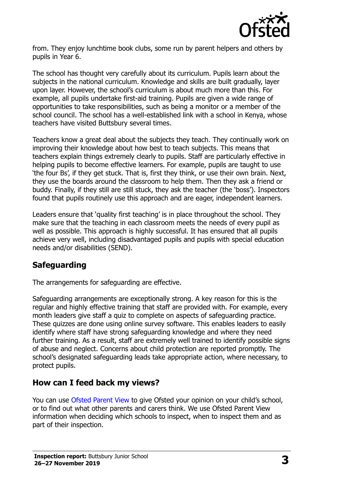

from. They enjoy lunchtime book clubs, some run by parent helpers and others by pupils in Year 6.

The school has thought very carefully about its curriculum. Pupils learn about the subjects in the national curriculum. Knowledge and skills are built gradually, layer upon layer. However, the school's curriculum is about much more than this. For example, all pupils undertake first-aid training. Pupils are given a wide range of opportunities to take responsibilities, such as being a monitor or a member of the school council. The school has a well-established link with a school in Kenya, whose teachers have visited Buttsbury several times.

Teachers know a great deal about the subjects they teach. They continually work on improving their knowledge about how best to teach subjects. This means that teachers explain things extremely clearly to pupils. Staff are particularly effective in helping pupils to become effective learners. For example, pupils are taught to use 'the four Bs', if they get stuck. That is, first they think, or use their own brain. Next, they use the boards around the classroom to help them. Then they ask a friend or buddy. Finally, if they still are still stuck, they ask the teacher (the 'boss'). Inspectors found that pupils routinely use this approach and are eager, independent learners.

Leaders ensure that 'quality first teaching' is in place throughout the school. They make sure that the teaching in each classroom meets the needs of every pupil as well as possible. This approach is highly successful. It has ensured that all pupils achieve very well, including disadvantaged pupils and pupils with special education needs and/or disabilities (SEND).

## **Safeguarding**

The arrangements for safeguarding are effective.

Safeguarding arrangements are exceptionally strong. A key reason for this is the regular and highly effective training that staff are provided with. For example, every month leaders give staff a quiz to complete on aspects of safeguarding practice. These quizzes are done using online survey software. This enables leaders to easily identify where staff have strong safeguarding knowledge and where they need further training. As a result, staff are extremely well trained to identify possible signs of abuse and neglect. Concerns about child protection are reported promptly. The school's designated safeguarding leads take appropriate action, where necessary, to protect pupils.

#### **How can I feed back my views?**

You can use [Ofsted Parent View](http://parentview.ofsted.gov.uk/) to give Ofsted your opinion on your child's school, or to find out what other parents and carers think. We use Ofsted Parent View information when deciding which schools to inspect, when to inspect them and as part of their inspection.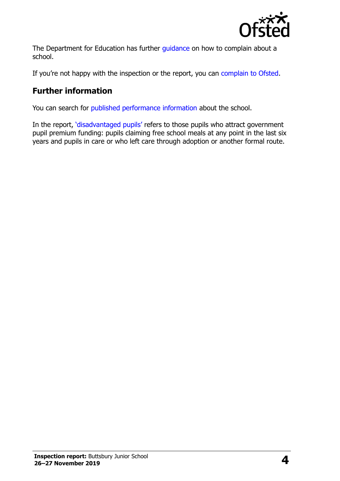

The Department for Education has further quidance on how to complain about a school.

If you're not happy with the inspection or the report, you can [complain to Ofsted.](http://www.gov.uk/complain-ofsted-report)

#### **Further information**

You can search for [published performance information](http://www.compare-school-performance.service.gov.uk/) about the school.

In the report, '[disadvantaged pupils](http://www.gov.uk/guidance/pupil-premium-information-for-schools-and-alternative-provision-settings)' refers to those pupils who attract government pupil premium funding: pupils claiming free school meals at any point in the last six years and pupils in care or who left care through adoption or another formal route.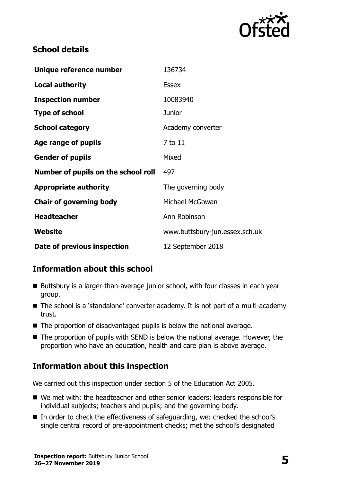

#### **School details**

| Unique reference number             | 136734                         |
|-------------------------------------|--------------------------------|
| <b>Local authority</b>              | <b>Essex</b>                   |
| <b>Inspection number</b>            | 10083940                       |
| <b>Type of school</b>               | Junior                         |
| <b>School category</b>              | Academy converter              |
| Age range of pupils                 | 7 to 11                        |
| <b>Gender of pupils</b>             | Mixed                          |
| Number of pupils on the school roll | 497                            |
| <b>Appropriate authority</b>        | The governing body             |
| <b>Chair of governing body</b>      | Michael McGowan                |
| <b>Headteacher</b>                  | Ann Robinson                   |
| Website                             | www.buttsbury-jun.essex.sch.uk |
| Date of previous inspection         | 12 September 2018              |

## **Information about this school**

- Buttsbury is a larger-than-average junior school, with four classes in each year group.
- The school is a 'standalone' converter academy. It is not part of a multi-academy trust.
- The proportion of disadvantaged pupils is below the national average.
- The proportion of pupils with SEND is below the national average. However, the proportion who have an education, health and care plan is above average.

# **Information about this inspection**

We carried out this inspection under section 5 of the Education Act 2005.

- We met with: the headteacher and other senior leaders; leaders responsible for individual subjects; teachers and pupils; and the governing body.
- In order to check the effectiveness of safeguarding, we: checked the school's single central record of pre-appointment checks; met the school's designated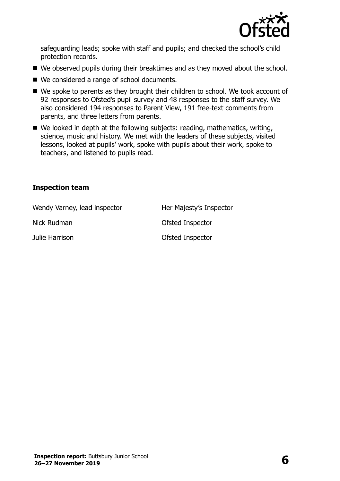

safeguarding leads; spoke with staff and pupils; and checked the school's child protection records.

- We observed pupils during their breaktimes and as they moved about the school.
- We considered a range of school documents.
- We spoke to parents as they brought their children to school. We took account of 92 responses to Ofsted's pupil survey and 48 responses to the staff survey. We also considered 194 responses to Parent View, 191 free-text comments from parents, and three letters from parents.
- We looked in depth at the following subjects: reading, mathematics, writing, science, music and history. We met with the leaders of these subjects, visited lessons, looked at pupils' work, spoke with pupils about their work, spoke to teachers, and listened to pupils read.

#### **Inspection team**

| Wendy Varney, lead inspector | Her Majesty's Inspector |
|------------------------------|-------------------------|
| Nick Rudman                  | Ofsted Inspector        |
| Julie Harrison               | Ofsted Inspector        |